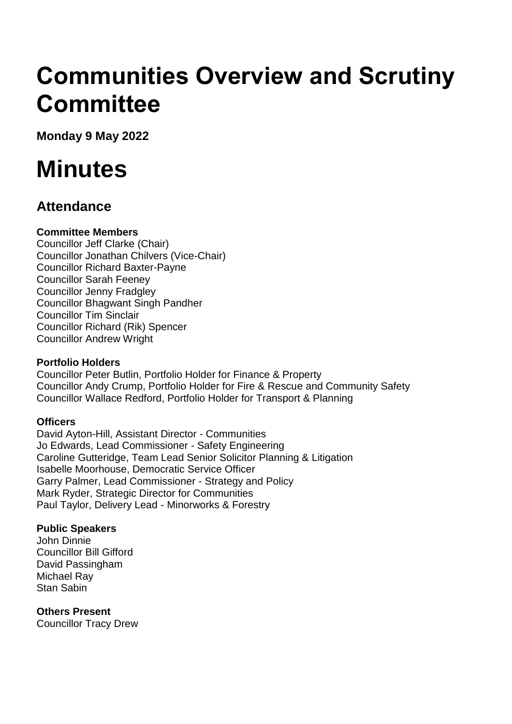# **Communities Overview and Scrutiny Committee**

**Monday 9 May 2022**

# **Minutes**

## **Attendance**

### **Committee Members**

Councillor Jeff Clarke (Chair) Councillor Jonathan Chilvers (Vice-Chair) Councillor Richard Baxter-Payne Councillor Sarah Feeney Councillor Jenny Fradgley Councillor Bhagwant Singh Pandher Councillor Tim Sinclair Councillor Richard (Rik) Spencer Councillor Andrew Wright

#### **Portfolio Holders**

Councillor Peter Butlin, Portfolio Holder for Finance & Property Councillor Andy Crump, Portfolio Holder for Fire & Rescue and Community Safety Councillor Wallace Redford, Portfolio Holder for Transport & Planning

### **Officers**

David Ayton-Hill, Assistant Director - Communities Jo Edwards, Lead Commissioner - Safety Engineering Caroline Gutteridge, Team Lead Senior Solicitor Planning & Litigation Isabelle Moorhouse, Democratic Service Officer Garry Palmer, Lead Commissioner - Strategy and Policy Mark Ryder, Strategic Director for Communities Paul Taylor, Delivery Lead - Minorworks & Forestry

### **Public Speakers**

John Dinnie Councillor Bill Gifford David Passingham Michael Ray Stan Sabin

### **Others Present**

Councillor Tracy Drew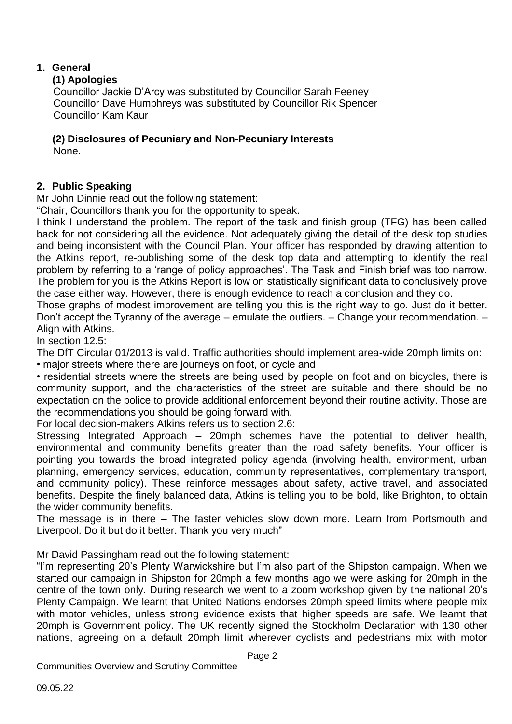#### **1. General**

#### **(1) Apologies**

Councillor Jackie D'Arcy was substituted by Councillor Sarah Feeney Councillor Dave Humphreys was substituted by Councillor Rik Spencer Councillor Kam Kaur

### **(2) Disclosures of Pecuniary and Non-Pecuniary Interests**

None.

### **2. Public Speaking**

Mr John Dinnie read out the following statement:

"Chair, Councillors thank you for the opportunity to speak.

I think I understand the problem. The report of the task and finish group (TFG) has been called back for not considering all the evidence. Not adequately giving the detail of the desk top studies and being inconsistent with the Council Plan. Your officer has responded by drawing attention to the Atkins report, re-publishing some of the desk top data and attempting to identify the real problem by referring to a 'range of policy approaches'. The Task and Finish brief was too narrow. The problem for you is the Atkins Report is low on statistically significant data to conclusively prove the case either way. However, there is enough evidence to reach a conclusion and they do.

Those graphs of modest improvement are telling you this is the right way to go. Just do it better. Don't accept the Tyranny of the average – emulate the outliers. – Change your recommendation. – Align with Atkins.

In section 12.5:

The DfT Circular 01/2013 is valid. Traffic authorities should implement area-wide 20mph limits on:

• major streets where there are journeys on foot, or cycle and

• residential streets where the streets are being used by people on foot and on bicycles, there is community support, and the characteristics of the street are suitable and there should be no expectation on the police to provide additional enforcement beyond their routine activity. Those are the recommendations you should be going forward with.

For local decision-makers Atkins refers us to section 2.6:

Stressing Integrated Approach – 20mph schemes have the potential to deliver health, environmental and community benefits greater than the road safety benefits. Your officer is pointing you towards the broad integrated policy agenda (involving health, environment, urban planning, emergency services, education, community representatives, complementary transport, and community policy). These reinforce messages about safety, active travel, and associated benefits. Despite the finely balanced data, Atkins is telling you to be bold, like Brighton, to obtain the wider community benefits.

The message is in there – The faster vehicles slow down more. Learn from Portsmouth and Liverpool. Do it but do it better. Thank you very much"

Mr David Passingham read out the following statement:

"I'm representing 20's Plenty Warwickshire but I'm also part of the Shipston campaign. When we started our campaign in Shipston for 20mph a few months ago we were asking for 20mph in the centre of the town only. During research we went to a zoom workshop given by the national 20's Plenty Campaign. We learnt that United Nations endorses 20mph speed limits where people mix with motor vehicles, unless strong evidence exists that higher speeds are safe. We learnt that 20mph is Government policy. The UK recently signed the Stockholm Declaration with 130 other nations, agreeing on a default 20mph limit wherever cyclists and pedestrians mix with motor

Page 2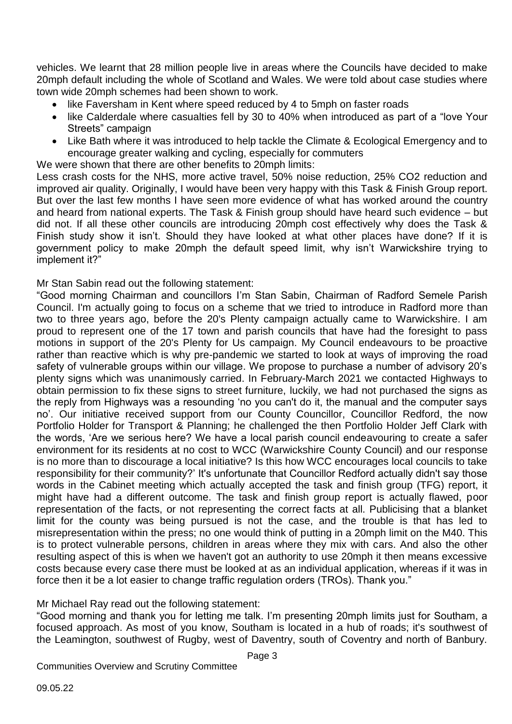vehicles. We learnt that 28 million people live in areas where the Councils have decided to make 20mph default including the whole of Scotland and Wales. We were told about case studies where town wide 20mph schemes had been shown to work.

- like Faversham in Kent where speed reduced by 4 to 5mph on faster roads
- like Calderdale where casualties fell by 30 to 40% when introduced as part of a "love Your Streets" campaign
- Like Bath where it was introduced to help tackle the Climate & Ecological Emergency and to encourage greater walking and cycling, especially for commuters

We were shown that there are other benefits to 20mph limits:

Less crash costs for the NHS, more active travel, 50% noise reduction, 25% CO2 reduction and improved air quality. Originally, I would have been very happy with this Task & Finish Group report. But over the last few months I have seen more evidence of what has worked around the country and heard from national experts. The Task & Finish group should have heard such evidence – but did not. If all these other councils are introducing 20mph cost effectively why does the Task & Finish study show it isn't. Should they have looked at what other places have done? If it is government policy to make 20mph the default speed limit, why isn't Warwickshire trying to implement it?"

Mr Stan Sabin read out the following statement:

"Good morning Chairman and councillors I'm Stan Sabin, Chairman of Radford Semele Parish Council. I'm actually going to focus on a scheme that we tried to introduce in Radford more than two to three years ago, before the 20's Plenty campaign actually came to Warwickshire. I am proud to represent one of the 17 town and parish councils that have had the foresight to pass motions in support of the 20's Plenty for Us campaign. My Council endeavours to be proactive rather than reactive which is why pre-pandemic we started to look at ways of improving the road safety of vulnerable groups within our village. We propose to purchase a number of advisory 20's plenty signs which was unanimously carried. In February-March 2021 we contacted Highways to obtain permission to fix these signs to street furniture, luckily, we had not purchased the signs as the reply from Highways was a resounding 'no you can't do it, the manual and the computer says no'. Our initiative received support from our County Councillor, Councillor Redford, the now Portfolio Holder for Transport & Planning; he challenged the then Portfolio Holder Jeff Clark with the words, 'Are we serious here? We have a local parish council endeavouring to create a safer environment for its residents at no cost to WCC (Warwickshire County Council) and our response is no more than to discourage a local initiative? Is this how WCC encourages local councils to take responsibility for their community?' It's unfortunate that Councillor Redford actually didn't say those words in the Cabinet meeting which actually accepted the task and finish group (TFG) report, it might have had a different outcome. The task and finish group report is actually flawed, poor representation of the facts, or not representing the correct facts at all. Publicising that a blanket limit for the county was being pursued is not the case, and the trouble is that has led to misrepresentation within the press; no one would think of putting in a 20mph limit on the M40. This is to protect vulnerable persons, children in areas where they mix with cars. And also the other resulting aspect of this is when we haven't got an authority to use 20mph it then means excessive costs because every case there must be looked at as an individual application, whereas if it was in force then it be a lot easier to change traffic regulation orders (TROs). Thank you."

Mr Michael Ray read out the following statement:

"Good morning and thank you for letting me talk. I'm presenting 20mph limits just for Southam, a focused approach. As most of you know, Southam is located in a hub of roads; it's southwest of the Leamington, southwest of Rugby, west of Daventry, south of Coventry and north of Banbury.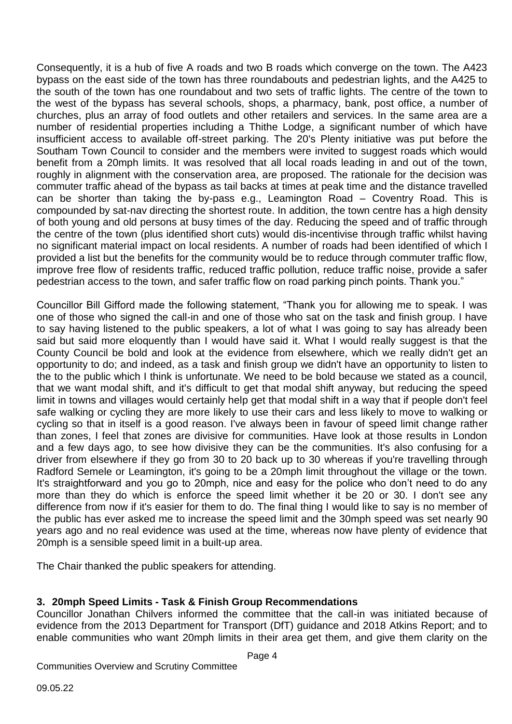Consequently, it is a hub of five A roads and two B roads which converge on the town. The A423 bypass on the east side of the town has three roundabouts and pedestrian lights, and the A425 to the south of the town has one roundabout and two sets of traffic lights. The centre of the town to the west of the bypass has several schools, shops, a pharmacy, bank, post office, a number of churches, plus an array of food outlets and other retailers and services. In the same area are a number of residential properties including a Thithe Lodge, a significant number of which have insufficient access to available off-street parking. The 20's Plenty initiative was put before the Southam Town Council to consider and the members were invited to suggest roads which would benefit from a 20mph limits. It was resolved that all local roads leading in and out of the town, roughly in alignment with the conservation area, are proposed. The rationale for the decision was commuter traffic ahead of the bypass as tail backs at times at peak time and the distance travelled can be shorter than taking the by-pass e.g., Leamington Road – Coventry Road. This is compounded by sat-nav directing the shortest route. In addition, the town centre has a high density of both young and old persons at busy times of the day. Reducing the speed and of traffic through the centre of the town (plus identified short cuts) would dis-incentivise through traffic whilst having no significant material impact on local residents. A number of roads had been identified of which I provided a list but the benefits for the community would be to reduce through commuter traffic flow, improve free flow of residents traffic, reduced traffic pollution, reduce traffic noise, provide a safer pedestrian access to the town, and safer traffic flow on road parking pinch points. Thank you."

Councillor Bill Gifford made the following statement, "Thank you for allowing me to speak. I was one of those who signed the call-in and one of those who sat on the task and finish group. I have to say having listened to the public speakers, a lot of what I was going to say has already been said but said more eloquently than I would have said it. What I would really suggest is that the County Council be bold and look at the evidence from elsewhere, which we really didn't get an opportunity to do; and indeed, as a task and finish group we didn't have an opportunity to listen to the to the public which I think is unfortunate. We need to be bold because we stated as a council, that we want modal shift, and it's difficult to get that modal shift anyway, but reducing the speed limit in towns and villages would certainly help get that modal shift in a way that if people don't feel safe walking or cycling they are more likely to use their cars and less likely to move to walking or cycling so that in itself is a good reason. I've always been in favour of speed limit change rather than zones, I feel that zones are divisive for communities. Have look at those results in London and a few days ago, to see how divisive they can be the communities. It's also confusing for a driver from elsewhere if they go from 30 to 20 back up to 30 whereas if you're travelling through Radford Semele or Leamington, it's going to be a 20mph limit throughout the village or the town. It's straightforward and you go to 20mph, nice and easy for the police who don't need to do any more than they do which is enforce the speed limit whether it be 20 or 30. I don't see any difference from now if it's easier for them to do. The final thing I would like to say is no member of the public has ever asked me to increase the speed limit and the 30mph speed was set nearly 90 years ago and no real evidence was used at the time, whereas now have plenty of evidence that 20mph is a sensible speed limit in a built-up area.

The Chair thanked the public speakers for attending.

#### **3. 20mph Speed Limits - Task & Finish Group Recommendations**

Councillor Jonathan Chilvers informed the committee that the call-in was initiated because of evidence from the 2013 Department for Transport (DfT) guidance and 2018 Atkins Report; and to enable communities who want 20mph limits in their area get them, and give them clarity on the

Page 4

Communities Overview and Scrutiny Committee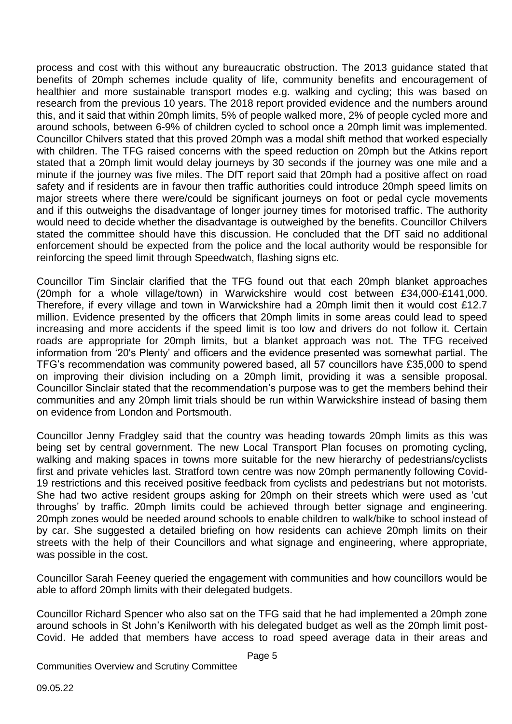process and cost with this without any bureaucratic obstruction. The 2013 guidance stated that benefits of 20mph schemes include quality of life, community benefits and encouragement of healthier and more sustainable transport modes e.g. walking and cycling; this was based on research from the previous 10 years. The 2018 report provided evidence and the numbers around this, and it said that within 20mph limits, 5% of people walked more, 2% of people cycled more and around schools, between 6-9% of children cycled to school once a 20mph limit was implemented. Councillor Chilvers stated that this proved 20mph was a modal shift method that worked especially with children. The TFG raised concerns with the speed reduction on 20mph but the Atkins report stated that a 20mph limit would delay journeys by 30 seconds if the journey was one mile and a minute if the journey was five miles. The DfT report said that 20mph had a positive affect on road safety and if residents are in favour then traffic authorities could introduce 20mph speed limits on major streets where there were/could be significant journeys on foot or pedal cycle movements and if this outweighs the disadvantage of longer journey times for motorised traffic. The authority would need to decide whether the disadvantage is outweighed by the benefits. Councillor Chilvers stated the committee should have this discussion. He concluded that the DfT said no additional enforcement should be expected from the police and the local authority would be responsible for reinforcing the speed limit through Speedwatch, flashing signs etc.

Councillor Tim Sinclair clarified that the TFG found out that each 20mph blanket approaches (20mph for a whole village/town) in Warwickshire would cost between £34,000-£141,000. Therefore, if every village and town in Warwickshire had a 20mph limit then it would cost £12.7 million. Evidence presented by the officers that 20mph limits in some areas could lead to speed increasing and more accidents if the speed limit is too low and drivers do not follow it. Certain roads are appropriate for 20mph limits, but a blanket approach was not. The TFG received information from '20's Plenty' and officers and the evidence presented was somewhat partial. The TFG's recommendation was community powered based, all 57 councillors have £35,000 to spend on improving their division including on a 20mph limit, providing it was a sensible proposal. Councillor Sinclair stated that the recommendation's purpose was to get the members behind their communities and any 20mph limit trials should be run within Warwickshire instead of basing them on evidence from London and Portsmouth.

Councillor Jenny Fradgley said that the country was heading towards 20mph limits as this was being set by central government. The new Local Transport Plan focuses on promoting cycling, walking and making spaces in towns more suitable for the new hierarchy of pedestrians/cyclists first and private vehicles last. Stratford town centre was now 20mph permanently following Covid-19 restrictions and this received positive feedback from cyclists and pedestrians but not motorists. She had two active resident groups asking for 20mph on their streets which were used as 'cut throughs' by traffic. 20mph limits could be achieved through better signage and engineering. 20mph zones would be needed around schools to enable children to walk/bike to school instead of by car. She suggested a detailed briefing on how residents can achieve 20mph limits on their streets with the help of their Councillors and what signage and engineering, where appropriate, was possible in the cost.

Councillor Sarah Feeney queried the engagement with communities and how councillors would be able to afford 20mph limits with their delegated budgets.

Councillor Richard Spencer who also sat on the TFG said that he had implemented a 20mph zone around schools in St John's Kenilworth with his delegated budget as well as the 20mph limit post-Covid. He added that members have access to road speed average data in their areas and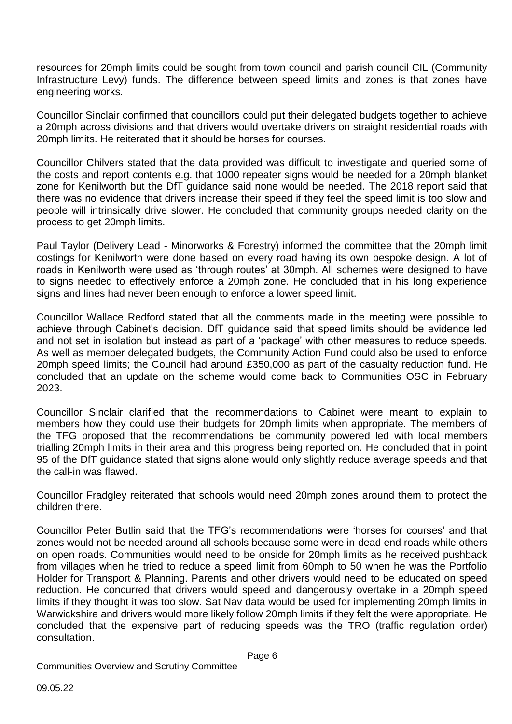resources for 20mph limits could be sought from town council and parish council CIL (Community Infrastructure Levy) funds. The difference between speed limits and zones is that zones have engineering works.

Councillor Sinclair confirmed that councillors could put their delegated budgets together to achieve a 20mph across divisions and that drivers would overtake drivers on straight residential roads with 20mph limits. He reiterated that it should be horses for courses.

Councillor Chilvers stated that the data provided was difficult to investigate and queried some of the costs and report contents e.g. that 1000 repeater signs would be needed for a 20mph blanket zone for Kenilworth but the DfT guidance said none would be needed. The 2018 report said that there was no evidence that drivers increase their speed if they feel the speed limit is too slow and people will intrinsically drive slower. He concluded that community groups needed clarity on the process to get 20mph limits.

Paul Taylor (Delivery Lead - Minorworks & Forestry) informed the committee that the 20mph limit costings for Kenilworth were done based on every road having its own bespoke design. A lot of roads in Kenilworth were used as 'through routes' at 30mph. All schemes were designed to have to signs needed to effectively enforce a 20mph zone. He concluded that in his long experience signs and lines had never been enough to enforce a lower speed limit.

Councillor Wallace Redford stated that all the comments made in the meeting were possible to achieve through Cabinet's decision. DfT guidance said that speed limits should be evidence led and not set in isolation but instead as part of a 'package' with other measures to reduce speeds. As well as member delegated budgets, the Community Action Fund could also be used to enforce 20mph speed limits; the Council had around £350,000 as part of the casualty reduction fund. He concluded that an update on the scheme would come back to Communities OSC in February 2023.

Councillor Sinclair clarified that the recommendations to Cabinet were meant to explain to members how they could use their budgets for 20mph limits when appropriate. The members of the TFG proposed that the recommendations be community powered led with local members trialling 20mph limits in their area and this progress being reported on. He concluded that in point 95 of the DfT guidance stated that signs alone would only slightly reduce average speeds and that the call-in was flawed.

Councillor Fradgley reiterated that schools would need 20mph zones around them to protect the children there.

Councillor Peter Butlin said that the TFG's recommendations were 'horses for courses' and that zones would not be needed around all schools because some were in dead end roads while others on open roads. Communities would need to be onside for 20mph limits as he received pushback from villages when he tried to reduce a speed limit from 60mph to 50 when he was the Portfolio Holder for Transport & Planning. Parents and other drivers would need to be educated on speed reduction. He concurred that drivers would speed and dangerously overtake in a 20mph speed limits if they thought it was too slow. Sat Nav data would be used for implementing 20mph limits in Warwickshire and drivers would more likely follow 20mph limits if they felt the were appropriate. He concluded that the expensive part of reducing speeds was the TRO (traffic regulation order) consultation.

Page 6

Communities Overview and Scrutiny Committee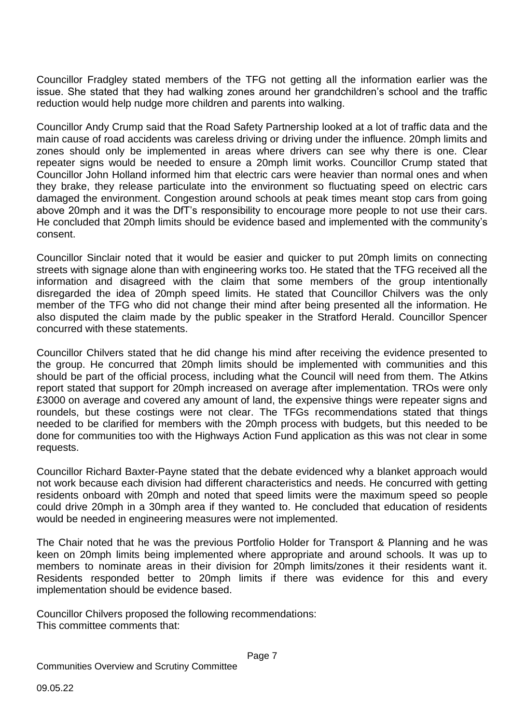Councillor Fradgley stated members of the TFG not getting all the information earlier was the issue. She stated that they had walking zones around her grandchildren's school and the traffic reduction would help nudge more children and parents into walking.

Councillor Andy Crump said that the Road Safety Partnership looked at a lot of traffic data and the main cause of road accidents was careless driving or driving under the influence. 20mph limits and zones should only be implemented in areas where drivers can see why there is one. Clear repeater signs would be needed to ensure a 20mph limit works. Councillor Crump stated that Councillor John Holland informed him that electric cars were heavier than normal ones and when they brake, they release particulate into the environment so fluctuating speed on electric cars damaged the environment. Congestion around schools at peak times meant stop cars from going above 20mph and it was the DfT's responsibility to encourage more people to not use their cars. He concluded that 20mph limits should be evidence based and implemented with the community's consent.

Councillor Sinclair noted that it would be easier and quicker to put 20mph limits on connecting streets with signage alone than with engineering works too. He stated that the TFG received all the information and disagreed with the claim that some members of the group intentionally disregarded the idea of 20mph speed limits. He stated that Councillor Chilvers was the only member of the TFG who did not change their mind after being presented all the information. He also disputed the claim made by the public speaker in the Stratford Herald. Councillor Spencer concurred with these statements.

Councillor Chilvers stated that he did change his mind after receiving the evidence presented to the group. He concurred that 20mph limits should be implemented with communities and this should be part of the official process, including what the Council will need from them. The Atkins report stated that support for 20mph increased on average after implementation. TROs were only £3000 on average and covered any amount of land, the expensive things were repeater signs and roundels, but these costings were not clear. The TFGs recommendations stated that things needed to be clarified for members with the 20mph process with budgets, but this needed to be done for communities too with the Highways Action Fund application as this was not clear in some requests.

Councillor Richard Baxter-Payne stated that the debate evidenced why a blanket approach would not work because each division had different characteristics and needs. He concurred with getting residents onboard with 20mph and noted that speed limits were the maximum speed so people could drive 20mph in a 30mph area if they wanted to. He concluded that education of residents would be needed in engineering measures were not implemented.

The Chair noted that he was the previous Portfolio Holder for Transport & Planning and he was keen on 20mph limits being implemented where appropriate and around schools. It was up to members to nominate areas in their division for 20mph limits/zones it their residents want it. Residents responded better to 20mph limits if there was evidence for this and every implementation should be evidence based.

Councillor Chilvers proposed the following recommendations: This committee comments that: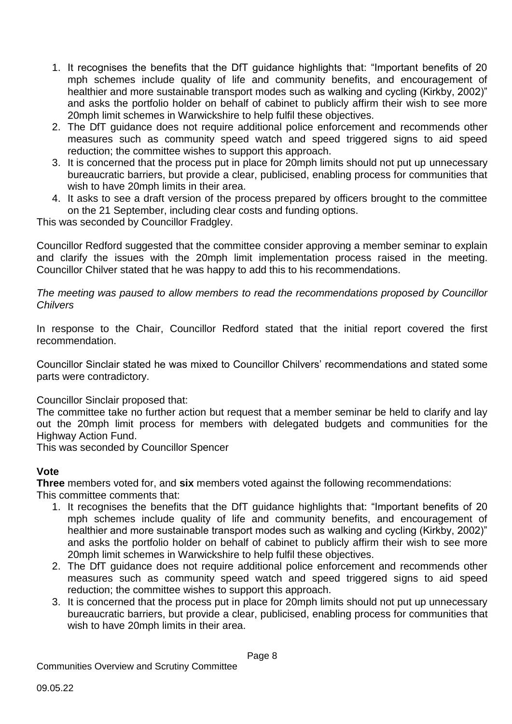- 1. It recognises the benefits that the DfT guidance highlights that: "Important benefits of 20 mph schemes include quality of life and community benefits, and encouragement of healthier and more sustainable transport modes such as walking and cycling (Kirkby, 2002)" and asks the portfolio holder on behalf of cabinet to publicly affirm their wish to see more 20mph limit schemes in Warwickshire to help fulfil these objectives.
- 2. The DfT guidance does not require additional police enforcement and recommends other measures such as community speed watch and speed triggered signs to aid speed reduction; the committee wishes to support this approach.
- 3. It is concerned that the process put in place for 20mph limits should not put up unnecessary bureaucratic barriers, but provide a clear, publicised, enabling process for communities that wish to have 20mph limits in their area.
- 4. It asks to see a draft version of the process prepared by officers brought to the committee on the 21 September, including clear costs and funding options.

This was seconded by Councillor Fradgley.

Councillor Redford suggested that the committee consider approving a member seminar to explain and clarify the issues with the 20mph limit implementation process raised in the meeting. Councillor Chilver stated that he was happy to add this to his recommendations.

*The meeting was paused to allow members to read the recommendations proposed by Councillor Chilvers*

In response to the Chair, Councillor Redford stated that the initial report covered the first recommendation.

Councillor Sinclair stated he was mixed to Councillor Chilvers' recommendations and stated some parts were contradictory.

Councillor Sinclair proposed that:

The committee take no further action but request that a member seminar be held to clarify and lay out the 20mph limit process for members with delegated budgets and communities for the Highway Action Fund.

This was seconded by Councillor Spencer

#### **Vote**

**Three** members voted for, and **six** members voted against the following recommendations:

- This committee comments that:
	- 1. It recognises the benefits that the DfT guidance highlights that: "Important benefits of 20 mph schemes include quality of life and community benefits, and encouragement of healthier and more sustainable transport modes such as walking and cycling (Kirkby, 2002)" and asks the portfolio holder on behalf of cabinet to publicly affirm their wish to see more 20mph limit schemes in Warwickshire to help fulfil these objectives.
	- 2. The DfT guidance does not require additional police enforcement and recommends other measures such as community speed watch and speed triggered signs to aid speed reduction; the committee wishes to support this approach.
	- 3. It is concerned that the process put in place for 20mph limits should not put up unnecessary bureaucratic barriers, but provide a clear, publicised, enabling process for communities that wish to have 20mph limits in their area.